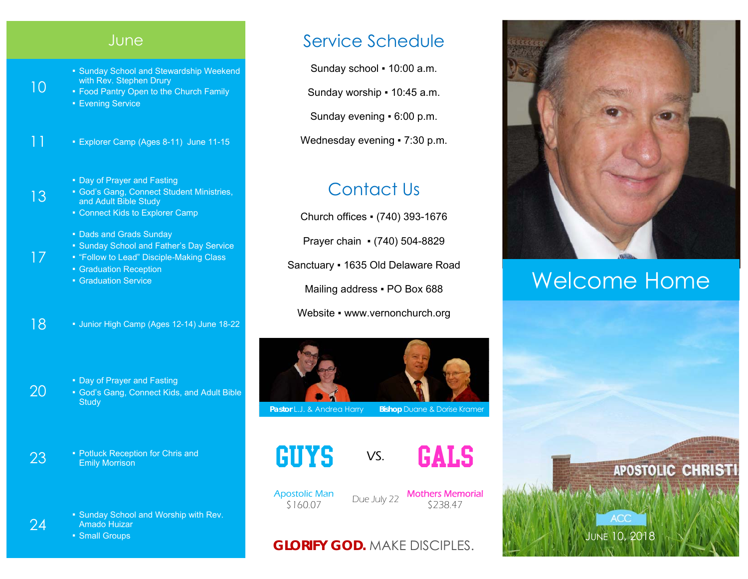|    | June                                                                                                                                                              |
|----|-------------------------------------------------------------------------------------------------------------------------------------------------------------------|
| 10 | • Sunday School and Stewardship Weekend<br>with Rev. Stephen Drury<br>. Food Pantry Open to the Church Family<br><b>Evening Service</b>                           |
| 11 | Explorer Camp (Ages 8-11) June 11-15                                                                                                                              |
| 13 | . Day of Prayer and Fasting<br>• God's Gang, Connect Student Ministries,<br>and Adult Bible Study<br>• Connect Kids to Explorer Camp                              |
| 17 | • Dads and Grads Sunday<br>• Sunday School and Father's Day Service<br>. "Follow to Lead" Disciple-Making Class<br>• Graduation Reception<br>• Graduation Service |
| 18 | Uunior High Camp (Ages 12-14) June 18-22                                                                                                                          |

**• Day of Prayer and Fasting • God's Gang, Connect Kids, and Adult Bible** 

23 **Potluck Reception for Chris and Emily Morrison** 

▪ Sunday School and Worship with Rev. Amado Huizar

■ Small Groups

**Study** 

20

24

### Service Schedule

Sunday school . 10:00 a.m.

Sunday worship = 10:45 a.m.

Sunday evening ▪ 6:00 p.m.

Wednesday evening • 7:30 p.m.

## Contact Us

Church offices ▪ (740) 393-1676 Prayer chain ▪ (740) 504-8829 Sanctuary ▪ 1635 Old Delaware Road Mailing address . PO Box 688 Website • www.vernonchurch.org



**Pastor L.J. & Andrea Harry Bishop Duane & Dorise Kramer** 





Apostolic Man

\$160.07 Due July 22 Mothers Memorial \$238.47

#### **GLORIFY GOD.** MAKE DISCIPLES.



## Welcome Home

JUNE 10, 2018

**ACC** 

**APOSTOLIC CHRISTI**